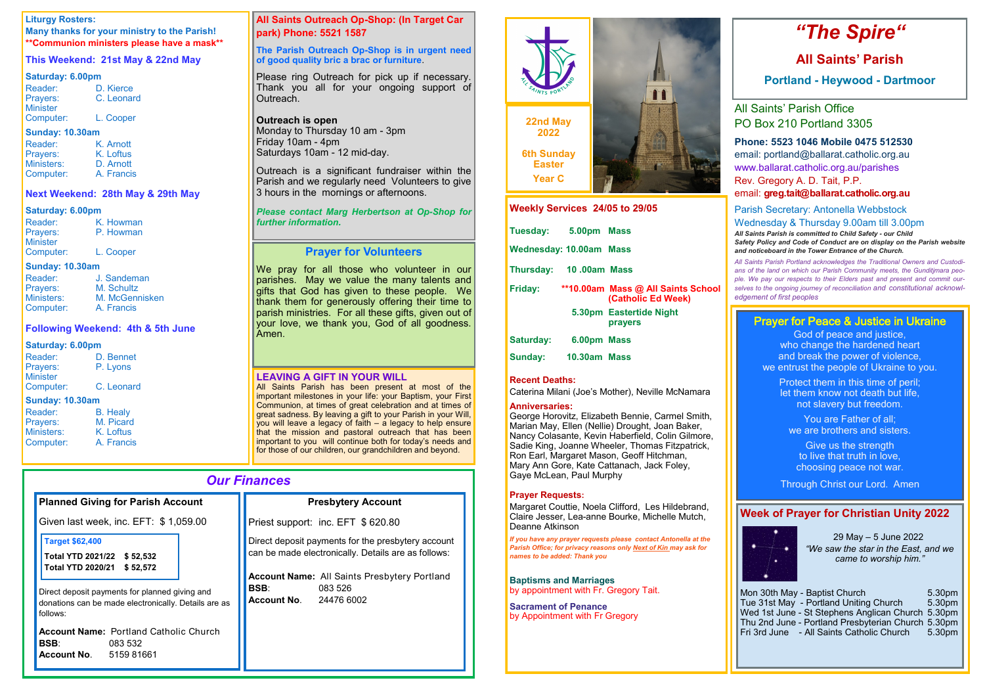| <b>Our Finances</b>                                                                                                                                                                                         |                                                                                                                                                                                                                             |  |
|-------------------------------------------------------------------------------------------------------------------------------------------------------------------------------------------------------------|-----------------------------------------------------------------------------------------------------------------------------------------------------------------------------------------------------------------------------|--|
| <b>Planned Giving for Parish Account</b>                                                                                                                                                                    | <b>Presbytery Account</b>                                                                                                                                                                                                   |  |
| Given last week, inc. EFT: \$1,059.00                                                                                                                                                                       | Priest support: inc. EFT \$620.80                                                                                                                                                                                           |  |
| <b>Target \$62,400</b><br>Total YTD 2021/22 \$52,532<br>Total YTD 2020/21<br>\$52,572<br>Direct deposit payments for planned giving and<br>donations can be made electronically. Details are as<br>follows: | Direct deposit payments for the presbytery account<br>can be made electronically. Details are as follows:<br><b>Account Name:</b> All Saints Presbytery Portland<br><b>BSB:</b><br>083 526<br><b>Account No. 24476 6002</b> |  |
| <b>Account Name: Portland Catholic Church</b><br><b>BSB:</b><br>083 532<br><b>Account No. 5159 81661</b>                                                                                                    |                                                                                                                                                                                                                             |  |

### **LEAVING A GIFT IN YOUR WILL**

All Saints Parish has been present at most of the important milestones in your life: your Baptism, your First Communion, at times of great celebration and at times of great sadness. By leaving a gift to your Parish in your Will, you will leave a legacy of faith – a legacy to help ensure that the mission and pastoral outreach that has been important to you will continue both for today's needs and for those of our children, our grandchildren and beyond.

#### **Liturgy Rosters:**

Outreach is a significant fundraiser within the Parish and we regularly need Volunteers to give 3 hours in the mornings or afternoons.

**Many thanks for your ministry to the Parish! \*\*Communion ministers please have a mask\*\***

### **This Weekend: 21st May & 22nd May**

#### **Saturday: 6.00pm**

| Reader:         | D. Kierce  |
|-----------------|------------|
| Prayers:        | C. Leonard |
| <b>Minister</b> |            |
| Computer:       | L. Cooper  |

#### **Sunday: 10.30am**

| Reader:    | K. Arnott  |
|------------|------------|
| Prayers:   | K. Loftus  |
| Ministers: | D. Arnott  |
| Computer:  | A. Francis |

#### **Next Weekend: 28th May & 29th May**

#### **Saturday: 6.00pm**

| Reader:         | K. Howman |
|-----------------|-----------|
| Prayers:        | P. Howman |
| <b>Minister</b> |           |
| Computer:       | L. Cooper |

#### **Sunday: 10.30am**

| Reader:                | J. Sandeman<br>M. Schultz |
|------------------------|---------------------------|
| Prayers:<br>Ministers: | M. McGennisken            |
| Computer:              | A. Francis                |

#### **Following Weekend: 4th & 5th June**

B. Healy M. Picard K. Loftus A. Francis

#### **Saturday: 6.00pm**

| Reader:                | D. Bennet  |
|------------------------|------------|
| Prayers:               | P. Lyons   |
| <b>Minister</b>        |            |
| Computer:              | C. Leonard |
| <b>Sunday: 10.30am</b> |            |

| Reader:    |
|------------|
| Prayers:   |
| Ministers: |
| Computer:  |
|            |

### **All Saints Outreach Op-Shop: (In Target Car park) Phone: 5521 1587**

#### **The Parish Outreach Op-Shop is in urgent need of good quality bric a brac or furniture**.

Please ring Outreach for pick up if necessary. Thank you all for your ongoing support of Outreach.

#### **Outreach is open**

Monday to Thursday 10 am - 3pm Friday 10am - 4pm Saturdays 10am - 12 mid-day.

#### *Please contact Marg Herbertson at Op-Shop for further information.*

### **Prayer for Volunteers**

Mon 30th May - Baptist Church 5.30pm<br>Tue 31st May - Portland Uniting Church 5.30pm Tue 31st May - Portland Uniting Church Wed 1st June - St Stephens Anglican Church 5.30pm Thu 2nd June - Portland Presbyterian Church 5.30pm Fri 3rd June - All Saints Catholic Church 5.30pm

We pray for all those who volunteer in our parishes. May we value the many talents and gifts that God has given to these people. We thank them for generously offering their time to parish ministries. For all these gifts, given out of your love, we thank you, God of all goodness. Amen.

# *"The Spire"*

## **All Saints' Parish**

**Portland - Heywood - Dartmoor**

All Saints' Parish Office PO Box 210 Portland 3305

### **Phone: 5523 1046 Mobile 0475 512530**

email: portland@ballarat.catholic.org.au www.ballarat.catholic.org.au/parishes Rev. Gregory A. D. Tait, P.P.

email: **greg.tait@ballarat.catholic.org.au**

### Parish Secretary: Antonella Webbstock Wednesday & Thursday 9.00am till 3.00pm

*All Saints Parish is committed to Child Safety - our Child Safety Policy and Code of Conduct are on display on the Parish website and noticeboard in the Tower Entrance of the Church.*

*All Saints Parish Portland acknowledges the Traditional Owners and Custodians of the land on which our Parish Community meets, the Gunditjmara people. We pay our respects to their Elders past and present and commit ourselves to the ongoing journey of reconciliation and constitutional acknowledgement of first peoples*

| <b>Weekly Services 24/05 to 29/05</b> |  |                                                          |
|---------------------------------------|--|----------------------------------------------------------|
| Tuesday: 5.00pm Mass                  |  |                                                          |
| <b>Wednesday: 10.00am Mass</b>        |  |                                                          |
| Thursday: 10.00am Mass                |  |                                                          |
| Friday:                               |  | **10.00am Mass @ All Saints School<br>(Catholic Ed Week) |
|                                       |  | 5.30pm Eastertide Night<br>prayers                       |
| Saturday: 6.00pm Mass                 |  |                                                          |
|                                       |  |                                                          |

### **Sunday:** 10.30am Mass

#### **Recent Deaths:**

Caterina Milani (Joe's Mother), Neville McNamara

#### **Anniversaries:**

George Horovitz, Elizabeth Bennie, Carmel Smith, Marian May, Ellen (Nellie) Drought, Joan Baker, Nancy Colasante, Kevin Haberfield, Colin Gilmore, Sadie King, Joanne Wheeler, Thomas Fitzpatrick, Ron Earl, Margaret Mason, Geoff Hitchman, Mary Ann Gore, Kate Cattanach, Jack Foley, Gaye McLean, Paul Murphy

#### **Prayer Requests:**

Margaret Couttie, Noela Clifford, Les Hildebrand, Claire Jesser, Lea-anne Bourke, Michelle Mutch, Deanne Atkinson

*If you have any prayer requests please contact Antonella at the Parish Office; for privacy reasons only Next of Kin may ask for names to be added: Thank you*

**Baptisms and Marriages**  by appointment with Fr. Gregory Tait.

**Sacrament of Penance**  by Appointment with Fr Gregory



### **Week of Prayer for Christian Unity 2022**



29 May – 5 June 2022 *"We saw the star in the East, and we came to worship him."*

### Prayer for Peace & Justice in Ukraine

God of peace and justice, who change the hardened heart and break the power of violence, we entrust the people of Ukraine to you.

Protect them in this time of peril; let them know not death but life, not slavery but freedom.

You are Father of all; we are brothers and sisters.

Give us the strength to live that truth in love, choosing peace not war.

Through Christ our Lord. Amen